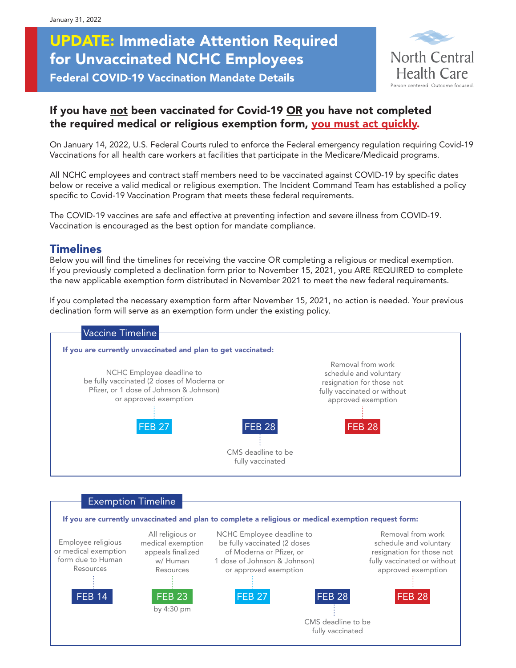# UPDATE: Immediate Attention Required for Unvaccinated NCHC Employees Federal COVID-19 Vaccination Mandate Details



# If you have not been vaccinated for Covid-19 OR you have not completed the required medical or religious exemption form, you must act quickly.

On January 14, 2022, U.S. Federal Courts ruled to enforce the Federal emergency regulation requiring Covid-19 Vaccinations for all health care workers at facilities that participate in the Medicare/Medicaid programs.

All NCHC employees and contract staff members need to be vaccinated against COVID-19 by specific dates below or receive a valid medical or religious exemption. The Incident Command Team has established a policy specific to Covid-19 Vaccination Program that meets these federal requirements.

The COVID-19 vaccines are safe and effective at preventing infection and severe illness from COVID-19. Vaccination is encouraged as the best option for mandate compliance.

### Timelines

Below you will find the timelines for receiving the vaccine OR completing a religious or medical exemption. If you previously completed a declination form prior to November 15, 2021, you ARE REQUIRED to complete the new applicable exemption form distributed in November 2021 to meet the new federal requirements.

If you completed the necessary exemption form after November 15, 2021, no action is needed. Your previous declination form will serve as an exemption form under the existing policy.